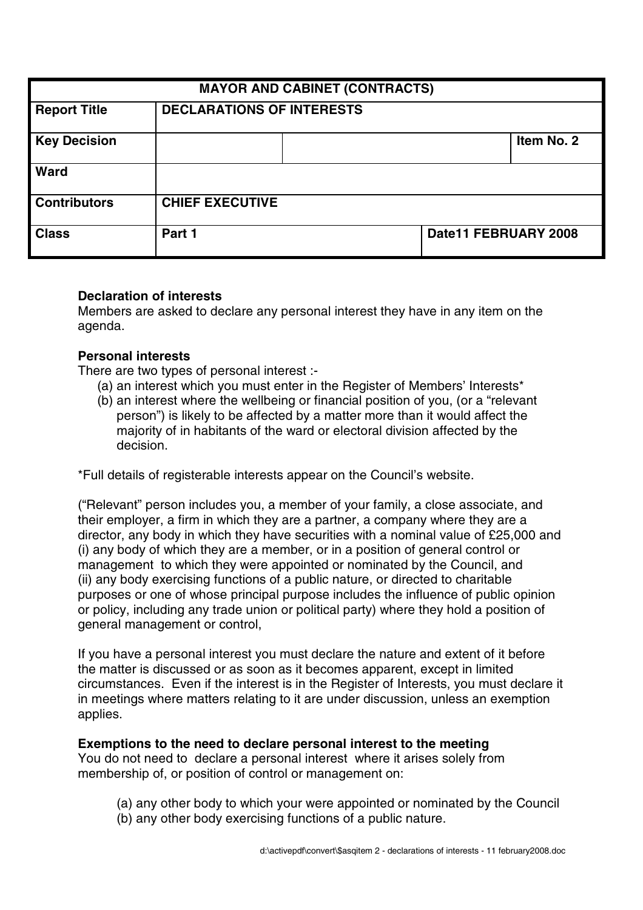| <b>MAYOR AND CABINET (CONTRACTS)</b> |                                  |  |                      |            |
|--------------------------------------|----------------------------------|--|----------------------|------------|
| <b>Report Title</b>                  | <b>DECLARATIONS OF INTERESTS</b> |  |                      |            |
| <b>Key Decision</b>                  |                                  |  |                      | Item No. 2 |
| Ward                                 |                                  |  |                      |            |
| <b>Contributors</b>                  | <b>CHIEF EXECUTIVE</b>           |  |                      |            |
| <b>Class</b>                         | Part 1                           |  | Date11 FEBRUARY 2008 |            |

### **Declaration of interests**

Members are asked to declare any personal interest they have in any item on the agenda.

#### **Personal interests**

There are two types of personal interest :-

- (a) an interest which you must enter in the Register of Members' Interests\*
- (b) an interest where the wellbeing or financial position of you, (or a "relevant person") is likely to be affected by a matter more than it would affect the majority of in habitants of the ward or electoral division affected by the decision.

\*Full details of registerable interests appear on the Council's website.

("Relevant" person includes you, a member of your family, a close associate, and their employer, a firm in which they are a partner, a company where they are a director, any body in which they have securities with a nominal value of £25,000 and (i) any body of which they are a member, or in a position of general control or management to which they were appointed or nominated by the Council, and (ii) any body exercising functions of a public nature, or directed to charitable purposes or one of whose principal purpose includes the influence of public opinion or policy, including any trade union or political party) where they hold a position of general management or control,

If you have a personal interest you must declare the nature and extent of it before the matter is discussed or as soon as it becomes apparent, except in limited circumstances. Even if the interest is in the Register of Interests, you must declare it in meetings where matters relating to it are under discussion, unless an exemption applies.

#### **Exemptions to the need to declare personal interest to the meeting**

You do not need to declare a personal interest where it arises solely from membership of, or position of control or management on:

- (a) any other body to which your were appointed or nominated by the Council
- (b) any other body exercising functions of a public nature.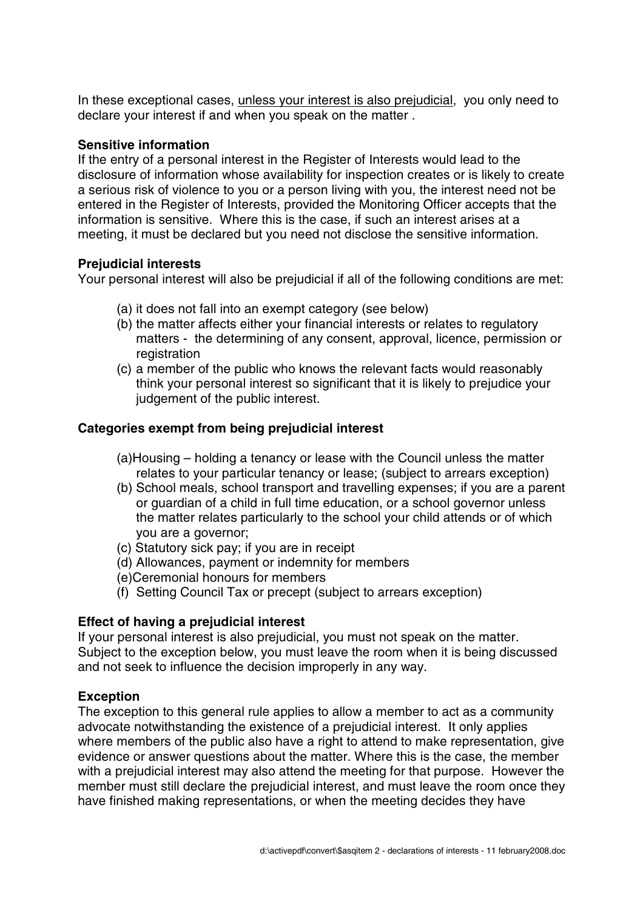In these exceptional cases, unless your interest is also prejudicial, you only need to declare your interest if and when you speak on the matter .

## **Sensitive information**

If the entry of a personal interest in the Register of Interests would lead to the disclosure of information whose availability for inspection creates or is likely to create a serious risk of violence to you or a person living with you, the interest need not be entered in the Register of Interests, provided the Monitoring Officer accepts that the information is sensitive. Where this is the case, if such an interest arises at a meeting, it must be declared but you need not disclose the sensitive information.

# **Prejudicial interests**

Your personal interest will also be prejudicial if all of the following conditions are met:

- (a) it does not fall into an exempt category (see below)
- (b) the matter affects either your financial interests or relates to regulatory matters - the determining of any consent, approval, licence, permission or registration
- (c) a member of the public who knows the relevant facts would reasonably think your personal interest so significant that it is likely to prejudice your judgement of the public interest.

# **Categories exempt from being prejudicial interest**

- (a)Housing holding a tenancy or lease with the Council unless the matter relates to your particular tenancy or lease; (subject to arrears exception)
- (b) School meals, school transport and travelling expenses; if you are a parent or guardian of a child in full time education, or a school governor unless the matter relates particularly to the school your child attends or of which you are a governor;
- (c) Statutory sick pay; if you are in receipt
- (d) Allowances, payment or indemnity for members
- (e)Ceremonial honours for members
- (f) Setting Council Tax or precept (subject to arrears exception)

# **Effect of having a prejudicial interest**

If your personal interest is also prejudicial, you must not speak on the matter. Subject to the exception below, you must leave the room when it is being discussed and not seek to influence the decision improperly in any way.

# **Exception**

The exception to this general rule applies to allow a member to act as a community advocate notwithstanding the existence of a prejudicial interest. It only applies where members of the public also have a right to attend to make representation, give evidence or answer questions about the matter. Where this is the case, the member with a prejudicial interest may also attend the meeting for that purpose. However the member must still declare the prejudicial interest, and must leave the room once they have finished making representations, or when the meeting decides they have